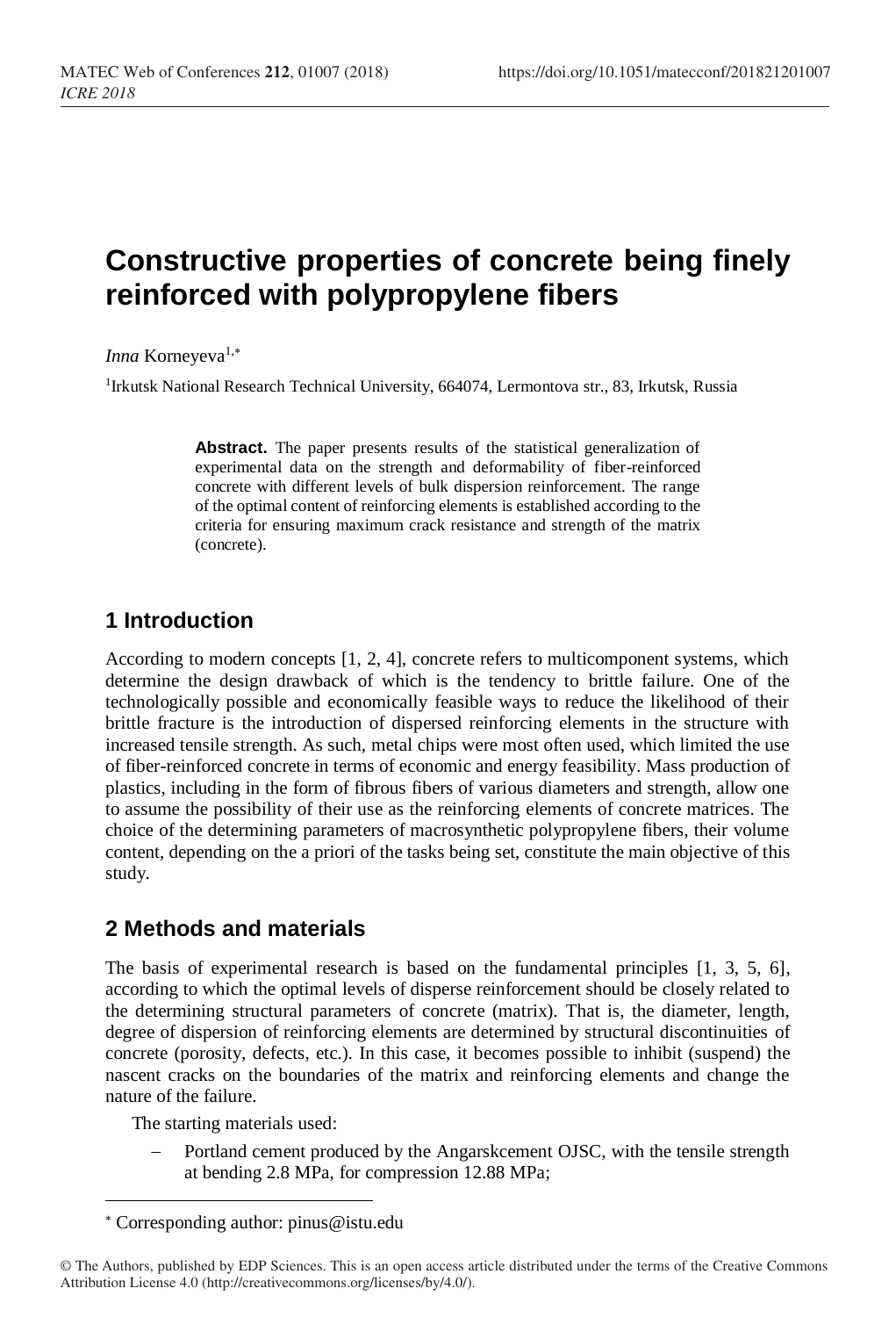# **Constructive properties of concrete being finely reinforced with polypropylene fibers**

*Inna* Korneyeva<sup>1,\*</sup>

<sup>1</sup>Irkutsk National Research Technical University, 664074, Lermontova str., 83, Irkutsk, Russia

**Abstract.** The paper presents results of the statistical generalization of experimental data on the strength and deformability of fiber-reinforced concrete with different levels of bulk dispersion reinforcement. The range of the optimal content of reinforcing elements is established according to the criteria for ensuring maximum crack resistance and strength of the matrix (concrete).

## **1 Introduction**

According to modern concepts [1, 2, 4], concrete refers to multicomponent systems, which determine the design drawback of which is the tendency to brittle failure. One of the technologically possible and economically feasible ways to reduce the likelihood of their brittle fracture is the introduction of dispersed reinforcing elements in the structure with increased tensile strength. As such, metal chips were most often used, which limited the use of fiber-reinforced concrete in terms of economic and energy feasibility. Mass production of plastics, including in the form of fibrous fibers of various diameters and strength, allow one to assume the possibility of their use as the reinforcing elements of concrete matrices. The choice of the determining parameters of macrosynthetic polypropylene fibers, their volume content, depending on the a priori of the tasks being set, constitute the main objective of this study.

## **2 Methods and materials**

The basis of experimental research is based on the fundamental principles  $[1, 3, 5, 6]$ , according to which the optimal levels of disperse reinforcement should be closely related to the determining structural parameters of concrete (matrix). That is, the diameter, length, degree of dispersion of reinforcing elements are determined by structural discontinuities of concrete (porosity, defects, etc.). In this case, it becomes possible to inhibit (suspend) the nascent cracks on the boundaries of the matrix and reinforcing elements and change the nature of the failure.

The starting materials used:

l

Portland cement produced by the Angarskcement OJSC, with the tensile strength at bending 2.8 MPa, for compression 12.88 MPa;

Corresponding author: pinus@istu.edu

<sup>©</sup> The Authors, published by EDP Sciences. This is an open access article distributed under the terms of the Creative Commons Attribution License 4.0 (http://creativecommons.org/licenses/by/4.0/).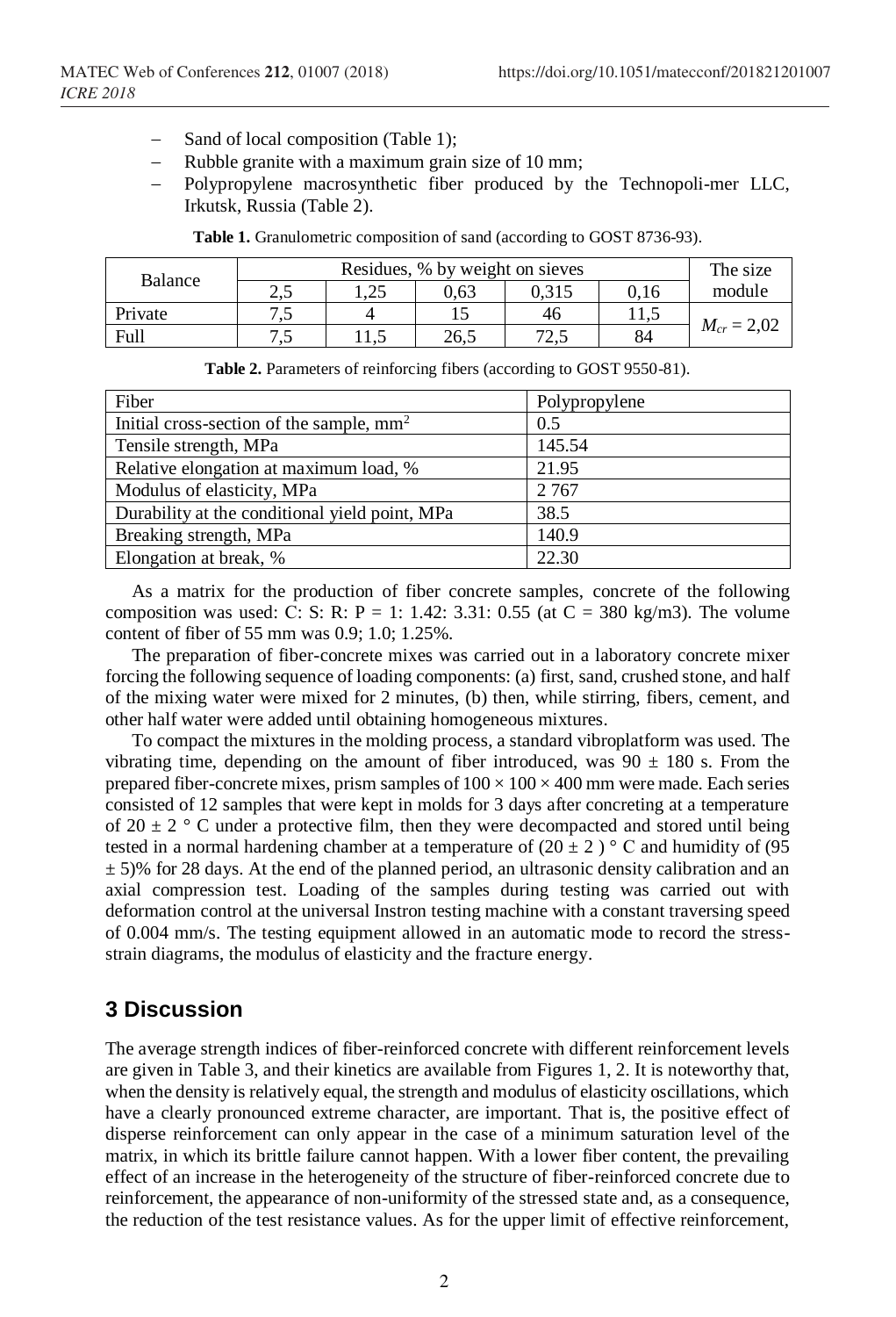- Sand of local composition (Table 1);
- Rubble granite with a maximum grain size of 10 mm;
- − Polypropylene macrosynthetic fiber produced by the Technopoli-mer LLC, Irkutsk, Russia (Table 2).

| Balance |              | The size |      |       |      |                 |
|---------|--------------|----------|------|-------|------|-----------------|
|         | າ ເ<br>ل و گ | 1.25     | 0.63 | 0.315 | 0.16 | module          |
| Private | - ב<br>ت     |          |      | 46    | 11.J |                 |
| Full    | س            | سمد      | 26.5 | ر…    | 84   | $M_{cr} = 2,02$ |

Table 1. Granulometric composition of sand (according to GOST 8736-93).

| <b>Table 2.</b> Parameters of reinforcing fibers (according to GOST 9550-81). |  |
|-------------------------------------------------------------------------------|--|
|                                                                               |  |

| Fiber                                                | Polypropylene |
|------------------------------------------------------|---------------|
| Initial cross-section of the sample, mm <sup>2</sup> | 0.5           |
| Tensile strength, MPa                                | 145.54        |
| Relative elongation at maximum load, %               | 21.95         |
| Modulus of elasticity, MPa                           | 2 7 6 7       |
| Durability at the conditional yield point, MPa       | 38.5          |
| Breaking strength, MPa                               | 140.9         |
| Elongation at break, %                               | 22.30         |

As a matrix for the production of fiber concrete samples, concrete of the following composition was used: C: S: R: P = 1: 1.42: 3.31: 0.55 (at C = 380 kg/m3). The volume content of fiber of 55 mm was 0.9; 1.0; 1.25%.

The preparation of fiber-concrete mixes was carried out in a laboratory concrete mixer forcing the following sequence of loading components: (a) first, sand, crushed stone, and half of the mixing water were mixed for 2 minutes, (b) then, while stirring, fibers, cement, and other half water were added until obtaining homogeneous mixtures.

To compact the mixtures in the molding process, a standard vibroplatform was used. The vibrating time, depending on the amount of fiber introduced, was  $90 \pm 180$  s. From the prepared fiber-concrete mixes, prism samples of  $100 \times 100 \times 400$  mm were made. Each series consisted of 12 samples that were kept in molds for 3 days after concreting at a temperature of  $20 \pm 2$  ° C under a protective film, then they were decompacted and stored until being tested in a normal hardening chamber at a temperature of  $(20 \pm 2)$  ° C and humidity of (95)  $\pm$  5)% for 28 days. At the end of the planned period, an ultrasonic density calibration and an axial compression test. Loading of the samples during testing was carried out with deformation control at the universal Instron testing machine with a constant traversing speed of 0.004 mm/s. The testing equipment allowed in an automatic mode to record the stressstrain diagrams, the modulus of elasticity and the fracture energy.

#### **3 Discussion**

The average strength indices of fiber-reinforced concrete with different reinforcement levels are given in Table 3, and their kinetics are available from Figures 1, 2. It is noteworthy that, when the density is relatively equal, the strength and modulus of elasticity oscillations, which have a clearly pronounced extreme character, are important. That is, the positive effect of disperse reinforcement can only appear in the case of a minimum saturation level of the matrix, in which its brittle failure cannot happen. With a lower fiber content, the prevailing effect of an increase in the heterogeneity of the structure of fiber-reinforced concrete due to reinforcement, the appearance of non-uniformity of the stressed state and, as a consequence, the reduction of the test resistance values. As for the upper limit of effective reinforcement,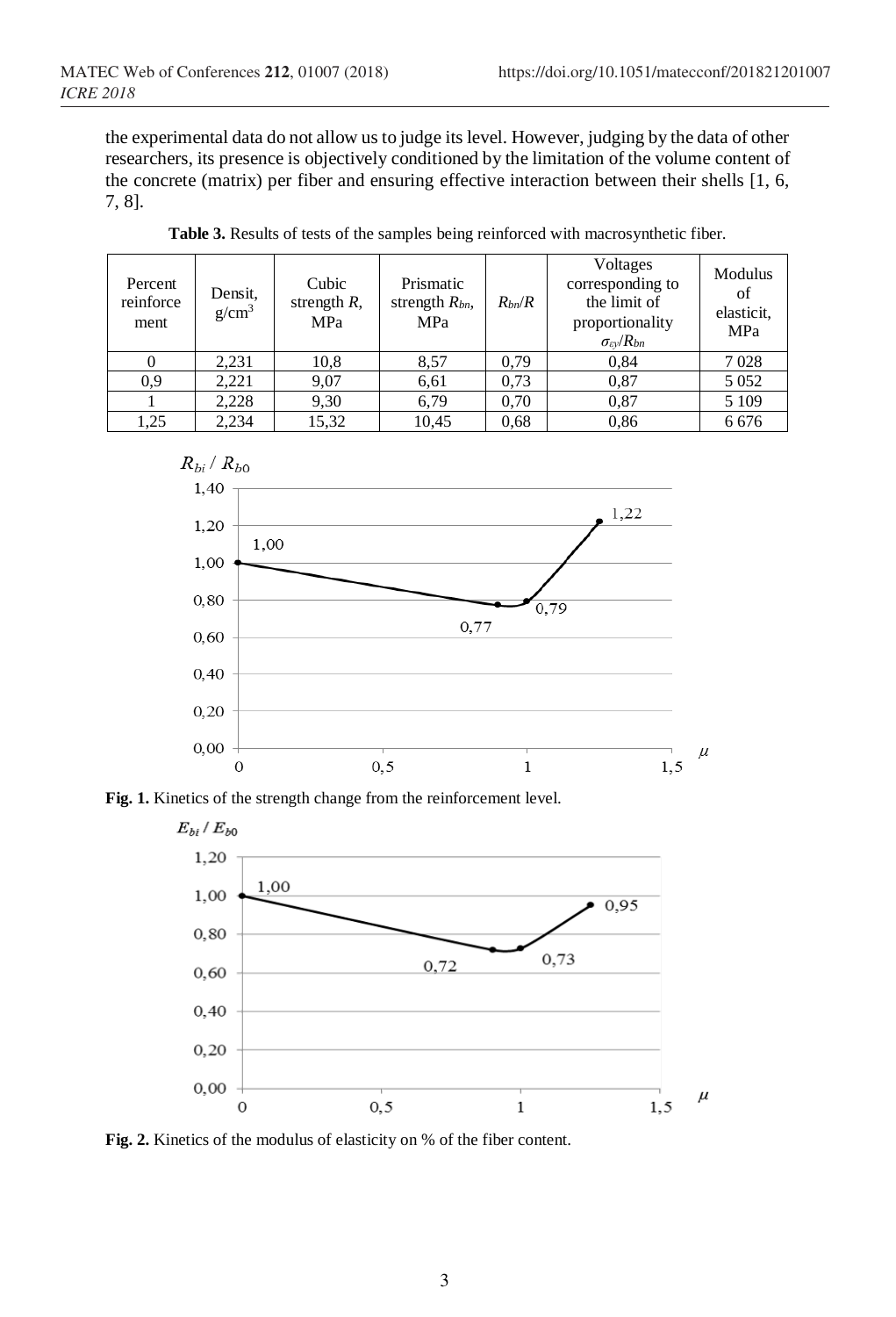the experimental data do not allow us to judge its level. However, judging by the data of other researchers, its presence is objectively conditioned by the limitation of the volume content of the concrete (matrix) per fiber and ensuring effective interaction between their shells [1, 6, 7, 8].

| Percent<br>reinforce<br>ment | Densit,<br>$g/cm^3$ | Cubic<br>strength $R$ ,<br>MPa | Prismatic<br>strength $R_{bn}$ ,<br>MPa | $R_{bn}/R$ | Voltages<br>corresponding to<br>the limit of<br>proportionality<br>$\sigma_{\rm\scriptscriptstyle {EV}}/R_{\rm\scriptscriptstyle {bh}}$ | Modulus<br>of<br>elasticit.<br>MPa |
|------------------------------|---------------------|--------------------------------|-----------------------------------------|------------|-----------------------------------------------------------------------------------------------------------------------------------------|------------------------------------|
| $\Omega$                     | 2,231               | 10,8                           | 8,57                                    | 0.79       | 0.84                                                                                                                                    | 7028                               |
| 0,9                          | 2.221               | 9.07                           | 6,61                                    | 0.73       | 0,87                                                                                                                                    | 5 0 5 2                            |
|                              | 2.228               | 9,30                           | 6.79                                    | 0.70       | 0,87                                                                                                                                    | 5 1 0 9                            |
| 1,25                         | 2.234               | 15,32                          | 10,45                                   | 0.68       | 0.86                                                                                                                                    | 6676                               |

**Table 3.** Results of tests of the samples being reinforced with macrosynthetic fiber.







Fig. 2. Kinetics of the modulus of elasticity on % of the fiber content.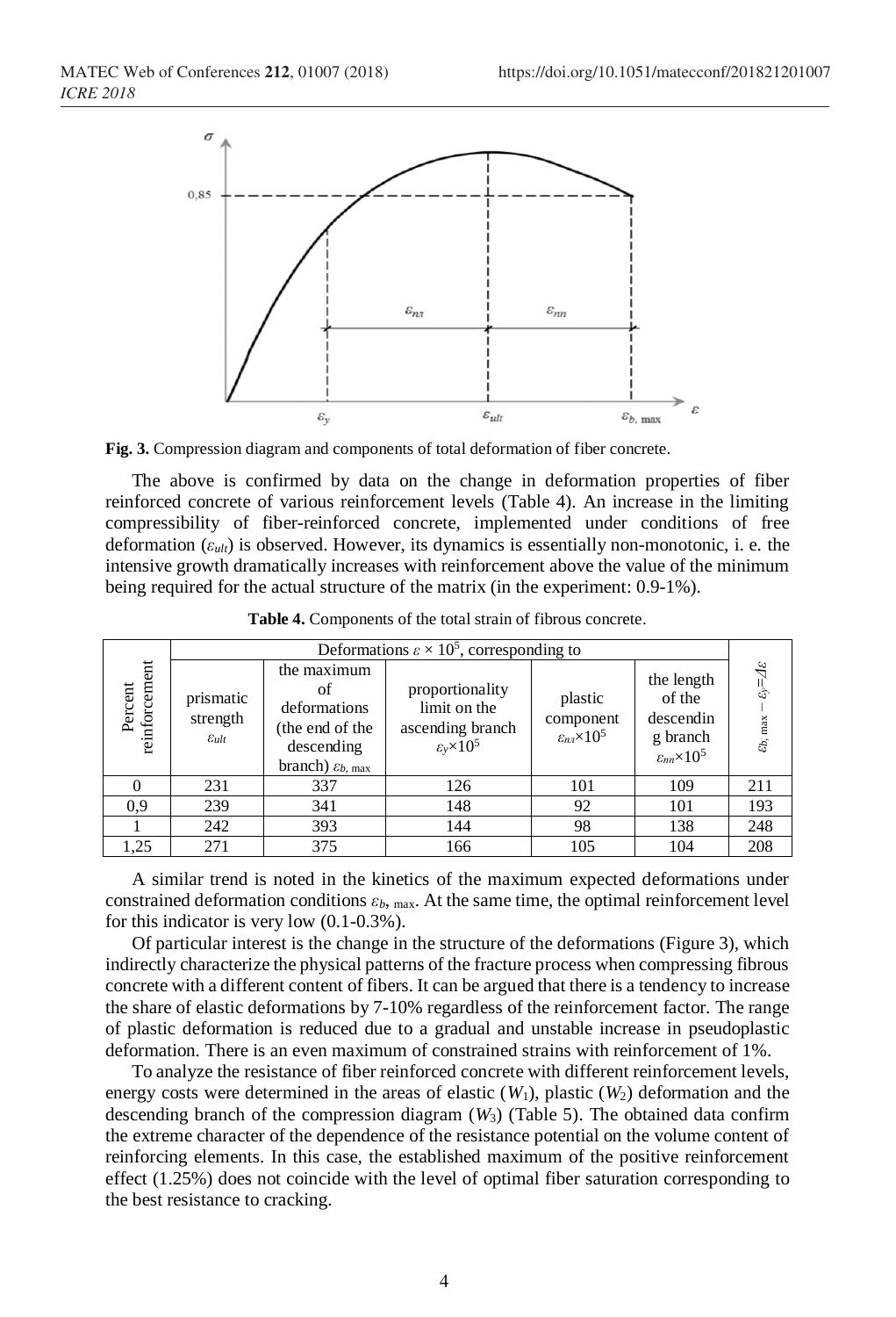

**Fig. 3.** Compression diagram and components of total deformation of fiber concrete.

The above is confirmed by data on the change in deformation properties of fiber reinforced concrete of various reinforcement levels (Table 4). An increase in the limiting compressibility of fiber-reinforced concrete, implemented under conditions of free deformation (*εult*) is observed. However, its dynamics is essentially non-monotonic, i. e. the intensive growth dramatically increases with reinforcement above the value of the minimum being required for the actual structure of the matrix (in the experiment: 0.9-1%).

|                          | Deformations $\varepsilon \times 10^5$ , corresponding to |                                                                                                             |                                                                                 |                                                       |                                                                                |                                  |  |
|--------------------------|-----------------------------------------------------------|-------------------------------------------------------------------------------------------------------------|---------------------------------------------------------------------------------|-------------------------------------------------------|--------------------------------------------------------------------------------|----------------------------------|--|
| reinforcement<br>Percent | prismatic<br>strength<br>$\mathcal{E}_{ult}$              | the maximum<br>of<br>deformations<br>(the end of the<br>descending<br>branch) $\varepsilon_{b, \text{max}}$ | proportionality<br>limit on the<br>ascending branch<br>$\epsilon_v \times 10^5$ | plastic<br>component<br>$\varepsilon_{nn}\times 10^5$ | the length<br>of the<br>descendin<br>g branch<br>$\varepsilon_{nn}\times 10^5$ | ట<br>હે<br>$\epsilon_{b,\ \max}$ |  |
|                          | 231                                                       | 337                                                                                                         | 126                                                                             | 101                                                   | 109                                                                            | 211                              |  |
| 0.9                      | 239                                                       | 341                                                                                                         | 148                                                                             | 92                                                    | 101                                                                            | 193                              |  |
|                          | 242                                                       | 393                                                                                                         | 144                                                                             | 98                                                    | 138                                                                            | 248                              |  |
| 1,25                     | 271                                                       | 375                                                                                                         | 166                                                                             | 105                                                   | 104                                                                            | 208                              |  |

**Table 4.** Components of the total strain of fibrous concrete.

A similar trend is noted in the kinetics of the maximum expected deformations under constrained deformation conditions  $\varepsilon_b$ , max. At the same time, the optimal reinforcement level for this indicator is very low (0.1-0.3%).

Of particular interest is the change in the structure of the deformations (Figure 3), which indirectly characterize the physical patterns of the fracture process when compressing fibrous concrete with a different content of fibers. It can be argued that there is a tendency to increase the share of elastic deformations by 7-10% regardless of the reinforcement factor. The range of plastic deformation is reduced due to a gradual and unstable increase in pseudoplastic deformation. There is an even maximum of constrained strains with reinforcement of 1%.

To analyze the resistance of fiber reinforced concrete with different reinforcement levels, energy costs were determined in the areas of elastic  $(W_1)$ , plastic  $(W_2)$  deformation and the descending branch of the compression diagram  $(W_3)$  (Table 5). The obtained data confirm the extreme character of the dependence of the resistance potential on the volume content of reinforcing elements. In this case, the established maximum of the positive reinforcement effect (1.25%) does not coincide with the level of optimal fiber saturation corresponding to the best resistance to cracking.